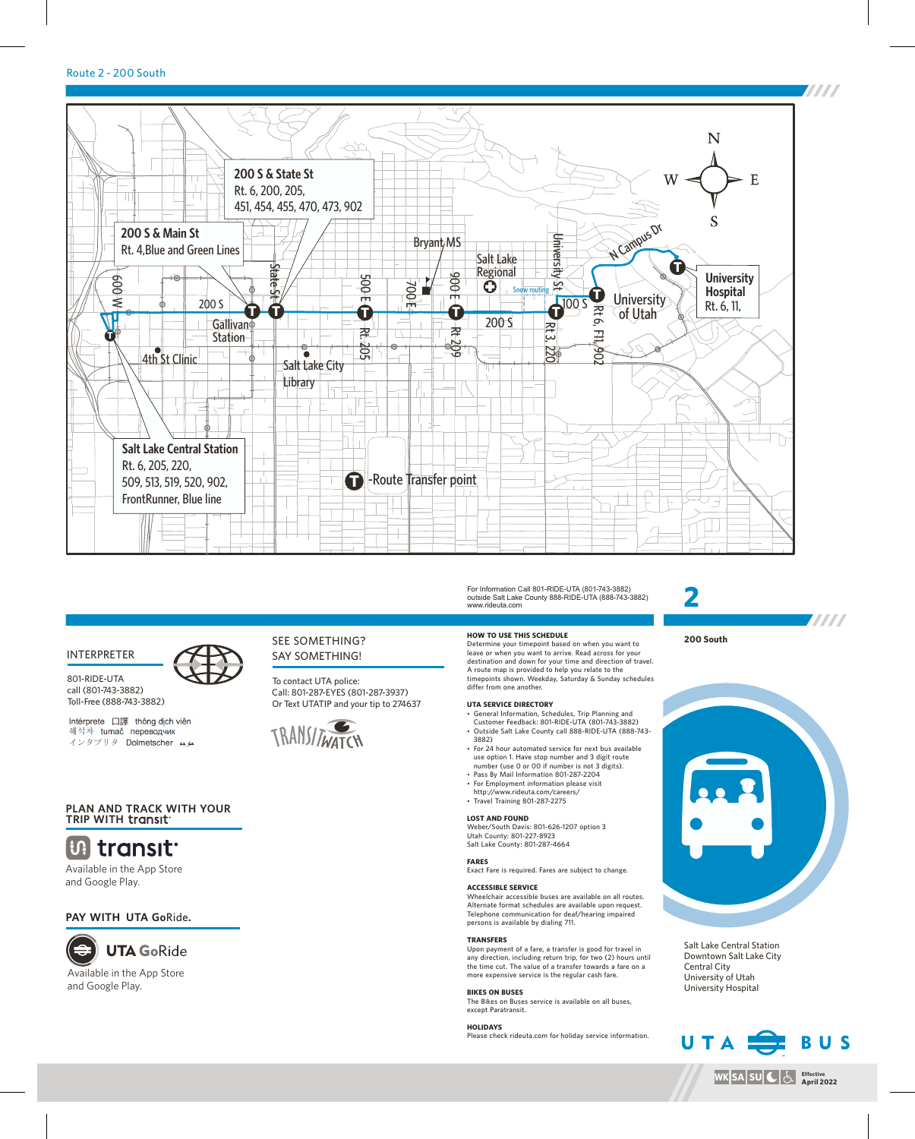## Route 2 - 200 South



# INTERPRETER

801-RIDE-UTA call (801-743-3882) Toll-Free (888-743-3882)

Intérprete 口譯 thông dịch viên 해석자 tumač переводчик インタプリタ Dolmetscher ムル

# SEE SOMETHING? SAY SOMETHING!

To contact UTA police: Call: 801-287-EYES (801-287-3937) Or Text UTATIP and your tip to 274637



# **PLAN AND TRACK WITH YOUR TRIP WITH**

# **Utility** transit

Available in the App Store and Google Play.

# **PAY WITH UTA Go**Ride**.**



Available in the App Store and Google Play.

#### For Information Call 801-RIDE-UTA (801-743-3882) outside Salt Lake County 888-RIDE-UTA (888-743-3882) www.rideuta.com

#### **HOW TO USE THIS SCHEDULE**

Determine your timepoint based on when you want to leave or when you want to arrive. Read across for your destination and down for your time and direction of travel. A route map is provided to help you relate to the timepoints shown. Weekday, Saturday & Sunday schedules differ from one another.

#### **UTA SERVICE DIRECTORY**

- General Information, Schedules, Trip Planning and Customer Feedback: 801-RIDE-UTA (801-743-3882) • Outside Salt Lake County call 888-RIDE-UTA (888-743-3882)
- For 24 hour automated service for next bus available
- use option 1. Have stop number and 3 digit route number (use 0 or 00 if number is not 3 digits).
- Pass By Mail Information 801-287-2204
- For Employment information please visit
- http://www.rideuta.com/careers/  $\cdot$  Travel Training 801-287-2275

### **LOST AND FOUND**

Weber/South Davis: 801-626-1207 option 3 Utah County: 801-227-8923 Salt Lake County: 801-287-4664

**FARES**

Exact Fare is required. Fares are subject to change.

### **ACCESSIBLE SERVICE**

Wheelchair accessible buses are available on all routes. Alternate format schedules are available upon request. Telephone communication for deaf/hearing impaired persons is available by dialing 711.

### **TRANSFERS**

Upon payment of a fare, a transfer is good for travel in any direction, including return trip, for two (2) hours until the time cut. The value of a transfer towards a fare on a more expensive service is the regular cash fare.

### **BIKES ON BUSES**

The Bikes on Buses service is available on all buses, except Paratransit.

#### **HOLIDAYS**

Please check rideuta.com for holiday service information.



**200 South**



Salt Lake Central Station Downtown Salt Lake City Central City University of Utah University Hospital



**WK|SA|SU|C|**(၂

**Effective April 2022**